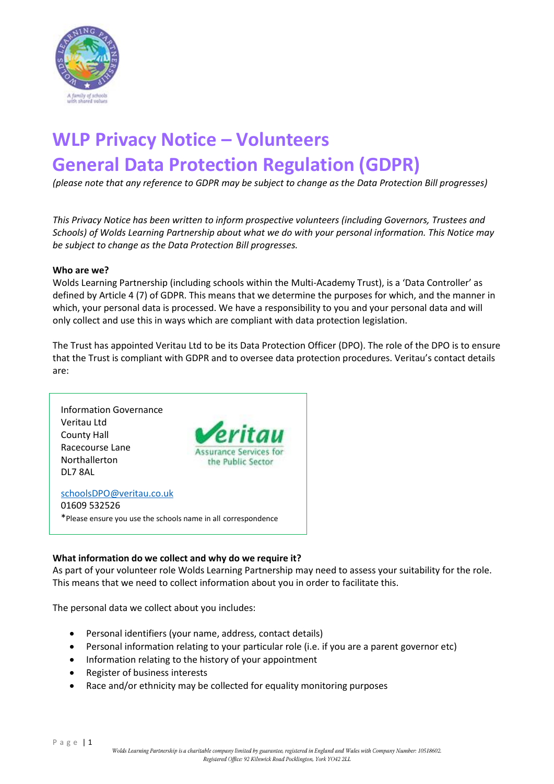

# **WLP Privacy Notice – Volunteers General Data Protection Regulation (GDPR)**

*(please note that any reference to GDPR may be subject to change as the Data Protection Bill progresses)*

*This Privacy Notice has been written to inform prospective volunteers (including Governors, Trustees and Schools) of Wolds Learning Partnership about what we do with your personal information. This Notice may be subject to change as the Data Protection Bill progresses.*

#### **Who are we?**

Wolds Learning Partnership (including schools within the Multi-Academy Trust), is a 'Data Controller' as defined by Article 4 (7) of GDPR. This means that we determine the purposes for which, and the manner in which, your personal data is processed. We have a responsibility to you and your personal data and will only collect and use this in ways which are compliant with data protection legislation.

The Trust has appointed Veritau Ltd to be its Data Protection Officer (DPO). The role of the DPO is to ensure that the Trust is compliant with GDPR and to oversee data protection procedures. Veritau's contact details are:



01609 532526 \*Please ensure you use the schools name in all correspondence

### **What information do we collect and why do we require it?**

As part of your volunteer role Wolds Learning Partnership may need to assess your suitability for the role. This means that we need to collect information about you in order to facilitate this.

The personal data we collect about you includes:

- Personal identifiers (your name, address, contact details)
- Personal information relating to your particular role (i.e. if you are a parent governor etc)
- Information relating to the history of your appointment
- Register of business interests
- Race and/or ethnicity may be collected for equality monitoring purposes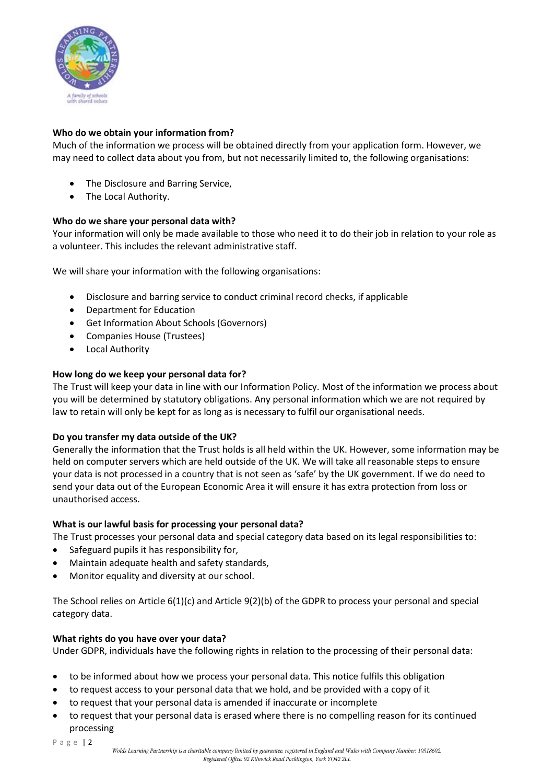

## **Who do we obtain your information from?**

Much of the information we process will be obtained directly from your application form. However, we may need to collect data about you from, but not necessarily limited to, the following organisations:

- The Disclosure and Barring Service,
- The Local Authority.

### **Who do we share your personal data with?**

Your information will only be made available to those who need it to do their job in relation to your role as a volunteer. This includes the relevant administrative staff.

We will share your information with the following organisations:

- Disclosure and barring service to conduct criminal record checks, if applicable
- Department for Education
- Get Information About Schools (Governors)
- Companies House (Trustees)
- Local Authority

### **How long do we keep your personal data for?**

The Trust will keep your data in line with our Information Policy. Most of the information we process about you will be determined by statutory obligations. Any personal information which we are not required by law to retain will only be kept for as long as is necessary to fulfil our organisational needs.

### **Do you transfer my data outside of the UK?**

Generally the information that the Trust holds is all held within the UK. However, some information may be held on computer servers which are held outside of the UK. We will take all reasonable steps to ensure your data is not processed in a country that is not seen as 'safe' by the UK government. If we do need to send your data out of the European Economic Area it will ensure it has extra protection from loss or unauthorised access.

### **What is our lawful basis for processing your personal data?**

The Trust processes your personal data and special category data based on its legal responsibilities to:

- Safeguard pupils it has responsibility for,
- Maintain adequate health and safety standards,
- Monitor equality and diversity at our school.

The School relies on Article 6(1)(c) and Article 9(2)(b) of the GDPR to process your personal and special category data.

### **What rights do you have over your data?**

Under GDPR, individuals have the following rights in relation to the processing of their personal data:

- to be informed about how we process your personal data. This notice fulfils this obligation
- to request access to your personal data that we hold, and be provided with a copy of it
- to request that your personal data is amended if inaccurate or incomplete
- to request that your personal data is erased where there is no compelling reason for its continued processing